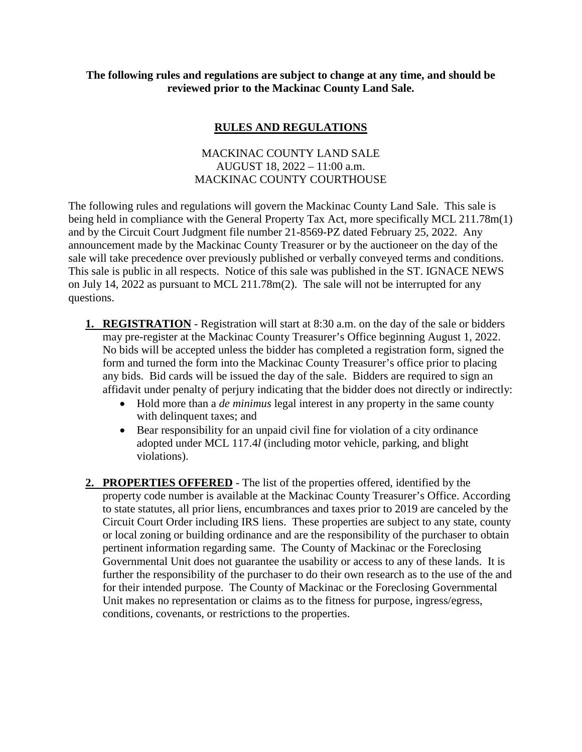## **The following rules and regulations are subject to change at any time, and should be reviewed prior to the Mackinac County Land Sale.**

## **RULES AND REGULATIONS**

## MACKINAC COUNTY LAND SALE AUGUST 18, 2022 – 11:00 a.m. MACKINAC COUNTY COURTHOUSE

The following rules and regulations will govern the Mackinac County Land Sale. This sale is being held in compliance with the General Property Tax Act, more specifically MCL 211.78m(1) and by the Circuit Court Judgment file number 21-8569-PZ dated February 25, 2022. Any announcement made by the Mackinac County Treasurer or by the auctioneer on the day of the sale will take precedence over previously published or verbally conveyed terms and conditions. This sale is public in all respects. Notice of this sale was published in the ST. IGNACE NEWS on July 14, 2022 as pursuant to MCL 211.78m(2). The sale will not be interrupted for any questions.

- **1. REGISTRATION** Registration will start at 8:30 a.m. on the day of the sale or bidders may pre-register at the Mackinac County Treasurer's Office beginning August 1, 2022. No bids will be accepted unless the bidder has completed a registration form, signed the form and turned the form into the Mackinac County Treasurer's office prior to placing any bids. Bid cards will be issued the day of the sale. Bidders are required to sign an affidavit under penalty of perjury indicating that the bidder does not directly or indirectly:
	- Hold more than a *de minimus* legal interest in any property in the same county with delinquent taxes; and
	- Bear responsibility for an unpaid civil fine for violation of a city ordinance adopted under MCL 117.4*l* (including motor vehicle, parking, and blight violations).
- **2. PROPERTIES OFFERED** The list of the properties offered, identified by the property code number is available at the Mackinac County Treasurer's Office. According to state statutes, all prior liens, encumbrances and taxes prior to 2019 are canceled by the Circuit Court Order including IRS liens. These properties are subject to any state, county or local zoning or building ordinance and are the responsibility of the purchaser to obtain pertinent information regarding same. The County of Mackinac or the Foreclosing Governmental Unit does not guarantee the usability or access to any of these lands. It is further the responsibility of the purchaser to do their own research as to the use of the and for their intended purpose. The County of Mackinac or the Foreclosing Governmental Unit makes no representation or claims as to the fitness for purpose, ingress/egress, conditions, covenants, or restrictions to the properties.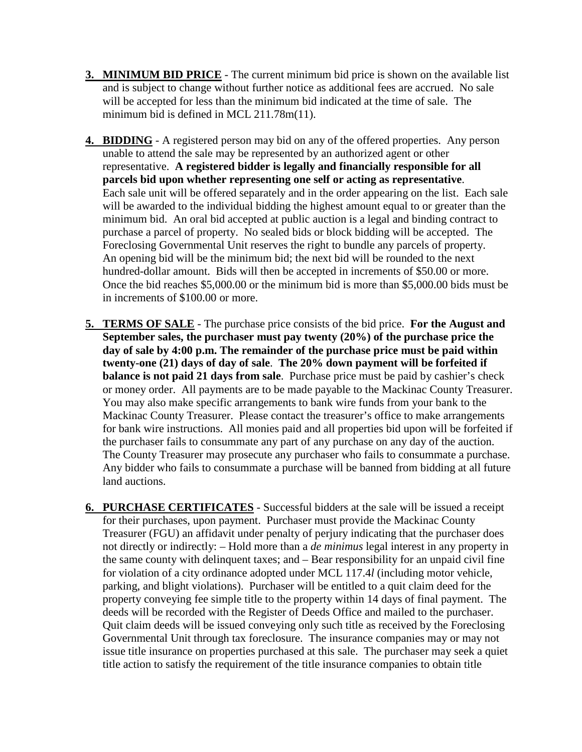- **3. MINIMUM BID PRICE** The current minimum bid price is shown on the available list and is subject to change without further notice as additional fees are accrued. No sale will be accepted for less than the minimum bid indicated at the time of sale. The minimum bid is defined in MCL 211.78m(11).
- **4. BIDDING** A registered person may bid on any of the offered properties. Any person unable to attend the sale may be represented by an authorized agent or other representative. **A registered bidder is legally and financially responsible for all parcels bid upon whether representing one self or acting as representative**. Each sale unit will be offered separately and in the order appearing on the list. Each sale will be awarded to the individual bidding the highest amount equal to or greater than the minimum bid. An oral bid accepted at public auction is a legal and binding contract to purchase a parcel of property. No sealed bids or block bidding will be accepted. The Foreclosing Governmental Unit reserves the right to bundle any parcels of property. An opening bid will be the minimum bid; the next bid will be rounded to the next hundred-dollar amount. Bids will then be accepted in increments of \$50.00 or more. Once the bid reaches \$5,000.00 or the minimum bid is more than \$5,000.00 bids must be in increments of \$100.00 or more.
- **5. TERMS OF SALE** The purchase price consists of the bid price. **For the August and September sales, the purchaser must pay twenty (20%) of the purchase price the day of sale by 4:00 p.m. The remainder of the purchase price must be paid within twenty-one (21) days of day of sale**. **The 20% down payment will be forfeited if balance is not paid 21 days from sale**. Purchase price must be paid by cashier's check or money order. All payments are to be made payable to the Mackinac County Treasurer. You may also make specific arrangements to bank wire funds from your bank to the Mackinac County Treasurer. Please contact the treasurer's office to make arrangements for bank wire instructions. All monies paid and all properties bid upon will be forfeited if the purchaser fails to consummate any part of any purchase on any day of the auction. The County Treasurer may prosecute any purchaser who fails to consummate a purchase. Any bidder who fails to consummate a purchase will be banned from bidding at all future land auctions.
- **6. PURCHASE CERTIFICATES** Successful bidders at the sale will be issued a receipt for their purchases, upon payment. Purchaser must provide the Mackinac County Treasurer (FGU) an affidavit under penalty of perjury indicating that the purchaser does not directly or indirectly: – Hold more than a *de minimus* legal interest in any property in the same county with delinquent taxes; and – Bear responsibility for an unpaid civil fine for violation of a city ordinance adopted under MCL 117.4*l* (including motor vehicle, parking, and blight violations). Purchaser will be entitled to a quit claim deed for the property conveying fee simple title to the property within 14 days of final payment. The deeds will be recorded with the Register of Deeds Office and mailed to the purchaser. Quit claim deeds will be issued conveying only such title as received by the Foreclosing Governmental Unit through tax foreclosure. The insurance companies may or may not issue title insurance on properties purchased at this sale. The purchaser may seek a quiet title action to satisfy the requirement of the title insurance companies to obtain title